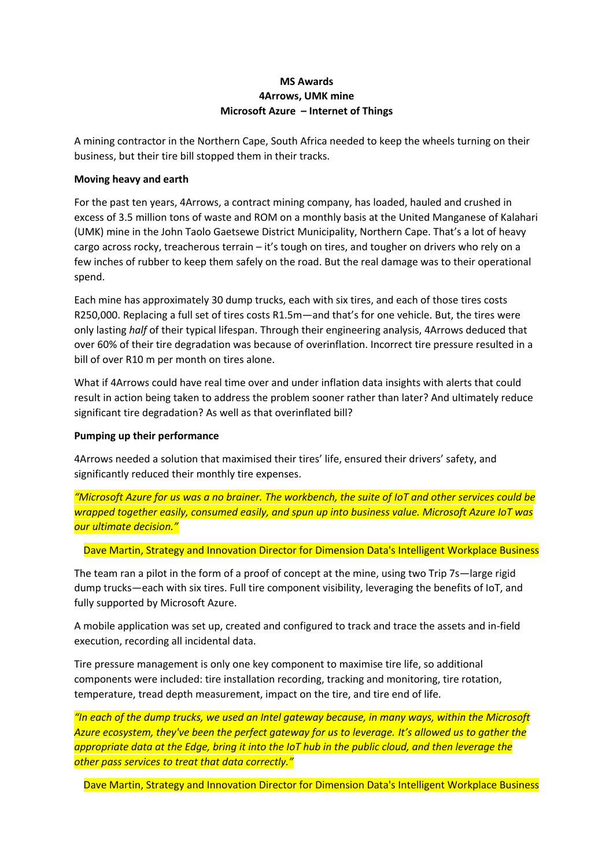# **MS Awards 4Arrows, UMK mine Microsoft Azure – Internet of Things**

A mining contractor in the Northern Cape, South Africa needed to keep the wheels turning on their business, but their tire bill stopped them in their tracks.

### **Moving heavy and earth**

For the past ten years, 4Arrows, a contract mining company, has loaded, hauled and crushed in excess of 3.5 million tons of waste and ROM on a monthly basis at the United Manganese of Kalahari (UMK) mine in the John Taolo Gaetsewe District Municipality, Northern Cape. That's a lot of heavy cargo across rocky, treacherous terrain – it's tough on tires, and tougher on drivers who rely on a few inches of rubber to keep them safely on the road. But the real damage was to their operational spend.

Each mine has approximately 30 dump trucks, each with six tires, and each of those tires costs R250,000. Replacing a full set of tires costs R1.5m—and that's for one vehicle. But, the tires were only lasting *half* of their typical lifespan. Through their engineering analysis, 4Arrows deduced that over 60% of their tire degradation was because of overinflation. Incorrect tire pressure resulted in a bill of over R10 m per month on tires alone.

What if 4Arrows could have real time over and under inflation data insights with alerts that could result in action being taken to address the problem sooner rather than later? And ultimately reduce significant tire degradation? As well as that overinflated bill?

## **Pumping up their performance**

4Arrows needed a solution that maximised their tires' life, ensured their drivers' safety, and significantly reduced their monthly tire expenses.

*"Microsoft Azure for us was a no brainer. The workbench, the suite of IoT and other services could be wrapped together easily, consumed easily, and spun up into business value. Microsoft Azure IoT was our ultimate decision."*

Dave Martin, Strategy and Innovation Director for Dimension Data's Intelligent Workplace Business

The team ran a pilot in the form of a proof of concept at the mine, using two Trip 7s—large rigid dump trucks—each with six tires. Full tire component visibility, leveraging the benefits of IoT, and fully supported by Microsoft Azure.

A mobile application was set up, created and configured to track and trace the assets and in-field execution, recording all incidental data.

Tire pressure management is only one key component to maximise tire life, so additional components were included: tire installation recording, tracking and monitoring, tire rotation, temperature, tread depth measurement, impact on the tire, and tire end of life.

*"In each of the dump trucks, we used an Intel gateway because, in many ways, within the Microsoft Azure ecosystem, they've been the perfect gateway for us to leverage. It's allowed us to gather the appropriate data at the Edge, bring it into the IoT hub in the public cloud, and then leverage the other pass services to treat that data correctly."*

Dave Martin, Strategy and Innovation Director for Dimension Data's Intelligent Workplace Business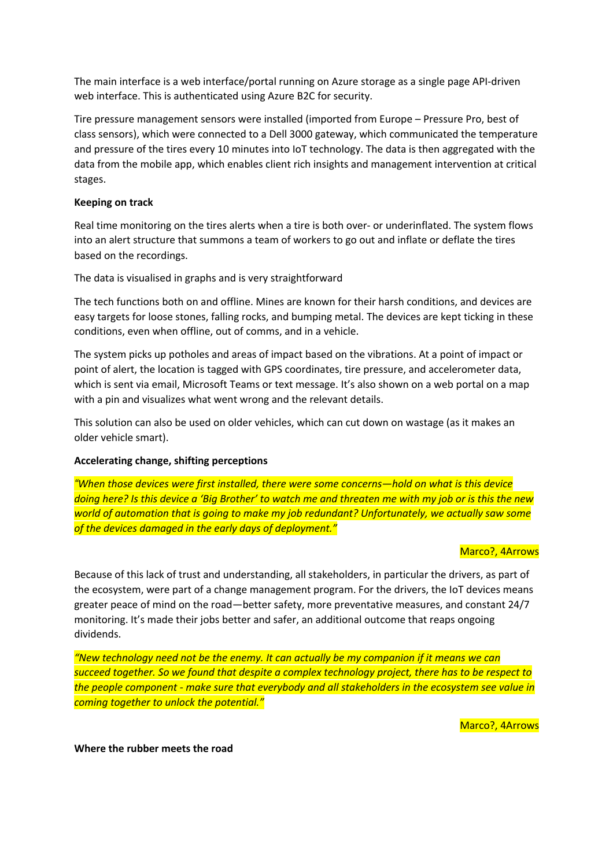The main interface is a web interface/portal running on Azure storage as a single page API-driven web interface. This is authenticated using Azure B2C for security.

Tire pressure management sensors were installed (imported from Europe – Pressure Pro, best of class sensors), which were connected to a Dell 3000 gateway, which communicated the temperature and pressure of the tires every 10 minutes into IoT technology. The data is then aggregated with the data from the mobile app, which enables client rich insights and management intervention at critical stages.

#### **Keeping on track**

Real time monitoring on the tires alerts when a tire is both over- or underinflated. The system flows into an alert structure that summons a team of workers to go out and inflate or deflate the tires based on the recordings.

The data is visualised in graphs and is very straightforward

The tech functions both on and offline. Mines are known for their harsh conditions, and devices are easy targets for loose stones, falling rocks, and bumping metal. The devices are kept ticking in these conditions, even when offline, out of comms, and in a vehicle.

The system picks up potholes and areas of impact based on the vibrations. At a point of impact or point of alert, the location is tagged with GPS coordinates, tire pressure, and accelerometer data, which is sent via email, Microsoft Teams or text message. It's also shown on a web portal on a map with a pin and visualizes what went wrong and the relevant details.

This solution can also be used on older vehicles, which can cut down on wastage (as it makes an older vehicle smart).

### **Accelerating change, shifting perceptions**

*"When those devices were first installed, there were some concerns—hold on what is this device doing here? Is this device a 'Big Brother' to watch me and threaten me with my job or is this the new world of automation that is going to make my job redundant? Unfortunately, we actually saw some of the devices damaged in the early days of deployment."*

#### Marco?, 4Arrows

Because of this lack of trust and understanding, all stakeholders, in particular the drivers, as part of the ecosystem, were part of a change management program. For the drivers, the IoT devices means greater peace of mind on the road—better safety, more preventative measures, and constant 24/7 monitoring. It's made their jobs better and safer, an additional outcome that reaps ongoing dividends.

*"New technology need not be the enemy. It can actually be my companion if it means we can succeed together. So we found that despite a complex technology project, there has to be respect to the people component - make sure that everybody and all stakeholders in the ecosystem see value in coming together to unlock the potential."*

Marco?, 4Arrows

**Where the rubber meets the road**